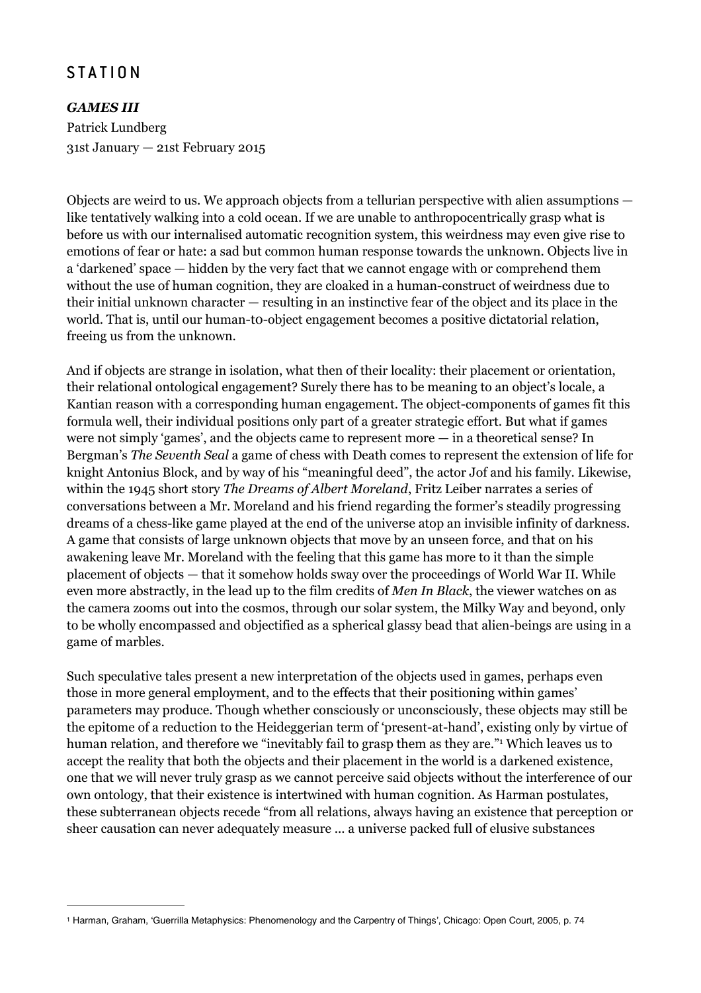## **STATION**

*GAMES III*  Patrick Lundberg 31st January — 21st February 2015

Objects are weird to us. We approach objects from a tellurian perspective with alien assumptions like tentatively walking into a cold ocean. If we are unable to anthropocentrically grasp what is before us with our internalised automatic recognition system, this weirdness may even give rise to emotions of fear or hate: a sad but common human response towards the unknown. Objects live in a 'darkened' space — hidden by the very fact that we cannot engage with or comprehend them without the use of human cognition, they are cloaked in a human-construct of weirdness due to their initial unknown character — resulting in an instinctive fear of the object and its place in the world. That is, until our human-t0-object engagement becomes a positive dictatorial relation, freeing us from the unknown.

And if objects are strange in isolation, what then of their locality: their placement or orientation, their relational ontological engagement? Surely there has to be meaning to an object's locale, a Kantian reason with a corresponding human engagement. The object-components of games fit this formula well, their individual positions only part of a greater strategic effort. But what if games were not simply 'games', and the objects came to represent more — in a theoretical sense? In Bergman's *The Seventh Seal* a game of chess with Death comes to represent the extension of life for knight Antonius Block, and by way of his "meaningful deed", the actor Jof and his family. Likewise, within the 1945 short story *The Dreams of Albert Moreland*, Fritz Leiber narrates a series of conversations between a Mr. Moreland and his friend regarding the former's steadily progressing dreams of a chess-like game played at the end of the universe atop an invisible infinity of darkness. A game that consists of large unknown objects that move by an unseen force, and that on his awakening leave Mr. Moreland with the feeling that this game has more to it than the simple placement of objects — that it somehow holds sway over the proceedings of World War II. While even more abstractly, in the lead up to the film credits of *Men In Black*, the viewer watches on as the camera zooms out into the cosmos, through our solar system, the Milky Way and beyond, only to be wholly encompassed and objectified as a spherical glassy bead that alien-beings are using in a game of marbles.

Such speculative tales present a new interpretation of the objects used in games, perhaps even those in more general employment, and to the effects that their positioning within games' parameters may produce. Though whether consciously or unconsciously, these objects may still be the epitome of a reduction to the Heideggerian term of 'present-at-hand', existing only by virtue of human relation, and therefore we "inevitably fail to grasp them as they are." Which leaves us to accept the reality that both the objects and their placement in the world is a darkened existence, one that we will never truly grasp as we cannot perceive said objects without the interference of our own ontology, that their existence is intertwined with human cognition. As Harman postulates, these subterranean objects recede "from all relations, always having an existence that perception or sheer causation can never adequately measure ... a universe packed full of elusive substances

<sup>1</sup> Harman, Graham, 'Guerrilla Metaphysics: Phenomenology and the Carpentry of Things', Chicago: Open Court, 2005, p. 74